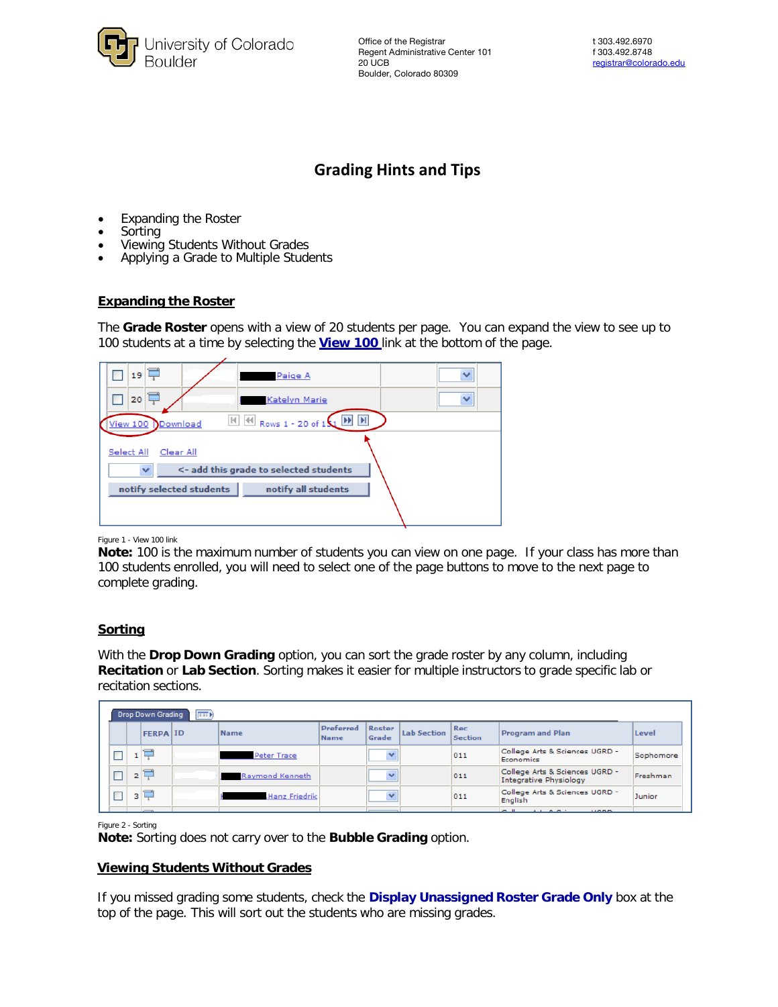

Office of the Registrar t 303.492.6970 Regent Administrative Center 101 f 303.492.8748 20 UCB [registrar@colorado.edu](mailto:registrar@colorado.edu) Boulder, Colorado 80309

# **Grading Hints and Tips**

- Expanding the Roster
- Sorting
- Viewing Students Without Grades
- Applying a Grade to Multiple Students

#### **Expanding the Roster**

The **Grade Roster** opens with a view of 20 students per page. You can expand the view to see up to 100 students at a time by selecting the **View 100** link at the bottom of the page.

| 19<br>Paige A                                                                                  | v |  |  |  |  |  |  |  |  |
|------------------------------------------------------------------------------------------------|---|--|--|--|--|--|--|--|--|
| 20<br>Katelyn Marie                                                                            | v |  |  |  |  |  |  |  |  |
| $\blacktriangleright$<br><b>H H</b> Rows 1 - 20 of 1 \ <b>H</b><br><b>View 100</b><br>Download |   |  |  |  |  |  |  |  |  |
| Select All<br>Clear All                                                                        |   |  |  |  |  |  |  |  |  |
| <- add this grade to selected students<br>$\checkmark$                                         |   |  |  |  |  |  |  |  |  |
| notify selected students<br>notify all students                                                |   |  |  |  |  |  |  |  |  |
|                                                                                                |   |  |  |  |  |  |  |  |  |

Figure 1 - View 100 link

**Note:** 100 is the maximum number of students you can view on one page. If your class has more than 100 students enrolled, you will need to select one of the page buttons to move to the next page to complete grading.

## **Sorting**

With the **Drop Down Grading** option, you can sort the grade roster by any column, including **Recitation** or **Lab Section**. Sorting makes it easier for multiple instructors to grade specific lab or recitation sections.

|        | <b>Drop Down Grading</b> | <b>Exp</b> |                 |                          |                 |                    |                              |                                                          |           |
|--------|--------------------------|------------|-----------------|--------------------------|-----------------|--------------------|------------------------------|----------------------------------------------------------|-----------|
|        | <b>FERPA ID</b>          |            | Name            | <b>Preferred</b><br>Name | Roster<br>Grade | <b>Lab Section</b> | <b>Rec</b><br><b>Section</b> | <b>Program and Plan</b>                                  | Level     |
| □      | $-1$                     |            | Peter Trace     |                          |                 |                    | 011                          | College Arts & Sciences UGRD -<br>Economics              | Sophomore |
| $\Box$ | 2                        |            | Raymond Kenneth |                          |                 |                    | 011                          | College Arts & Sciences UGRD -<br>Integrative Physiology | Freshman  |
| $\Box$ | 3                        |            | Hanz Friedrik   |                          |                 |                    | 011                          | College Arts & Sciences UGRD -<br>English                | Junior    |
|        |                          |            |                 |                          |                 |                    |                              | $-11$<br><b>ALBANY</b><br><b>LIGAN</b>                   |           |

Figure 2 - Sorting

**Note:** Sorting does not carry over to the **Bubble Grading** option.

## **Viewing Students Without Grades**

If you missed grading some students, check the **Display Unassigned Roster Grade Only** box at the top of the page. This will sort out the students who are missing grades.